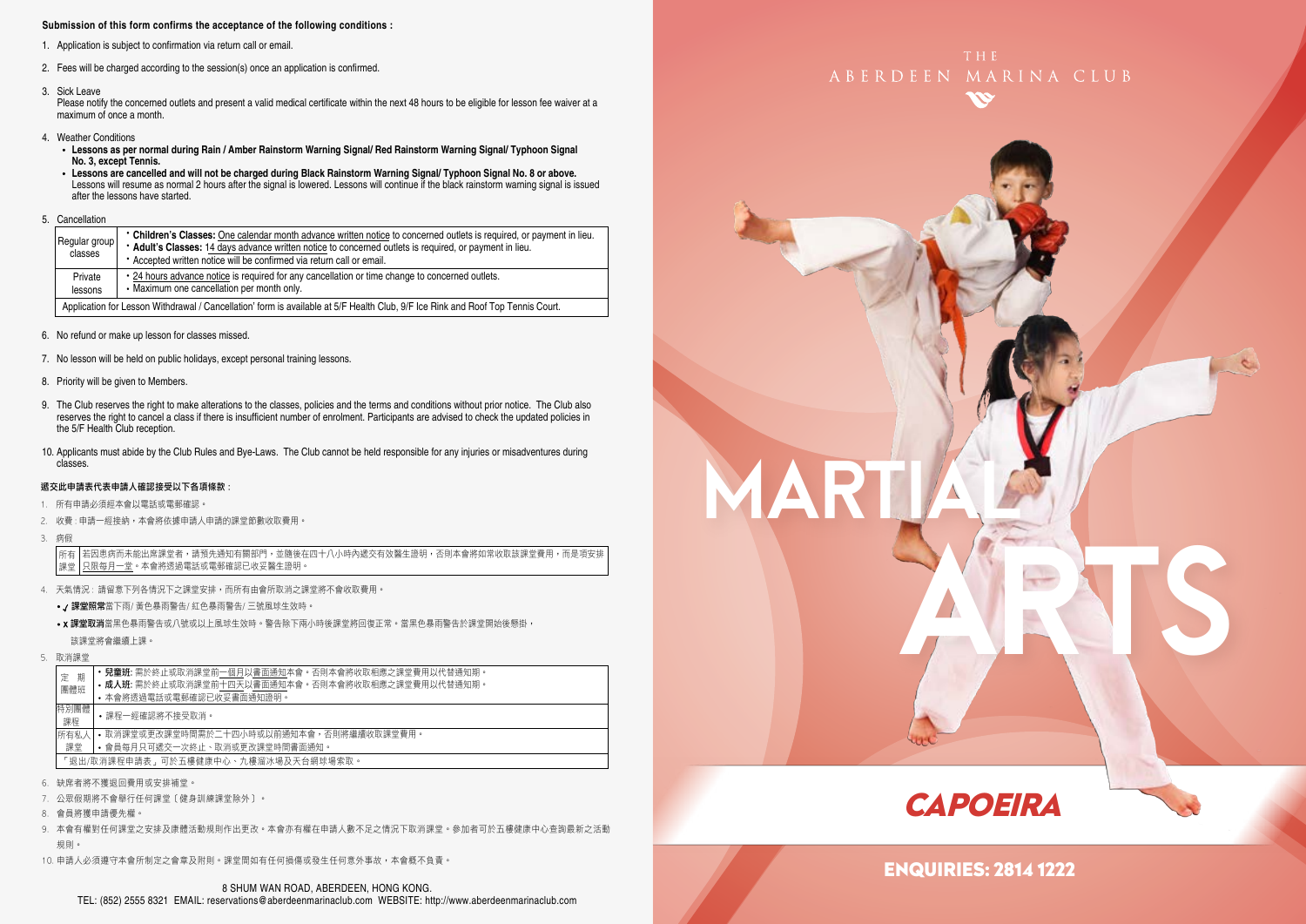#### **Submission of this form confirms the acceptance of the following conditions :**

- 1. Application is subject to confirmation via return call or email.
- 2. Fees will be charged according to the session(s) once an application is confirmed.
- 3. Sick Leave

Please notify the concerned outlets and present a valid medical certificate within the next 48 hours to be eligible for lesson fee waiver at a maximum of once a month.

- 4. Weather Conditions
	- **Lessons as per normal during Rain / Amber Rainstorm Warning Signal/ Red Rainstorm Warning Signal/ Typhoon Signal No. 3, except Tennis.**
	- **Lessons are cancelled and will not be charged during Black Rainstorm Warning Signal/ Typhoon Signal No. 8 or above.** Lessons will resume as normal 2 hours after the signal is lowered. Lessons will continue if the black rainstorm warning signal is issued after the lessons have started.
- 5. Cancellation

| Regular group<br>classes | • Children's Classes: One calendar month advance written notice to concerned outlets is required, or payment in lieu.<br>* Adult's Classes: 14 days advance written notice to concerned outlets is required, or payment in lieu.<br>* Accepted written notice will be confirmed via return call or email. |
|--------------------------|-----------------------------------------------------------------------------------------------------------------------------------------------------------------------------------------------------------------------------------------------------------------------------------------------------------|
| Private<br>lessons       | . 24 hours advance notice is required for any cancellation or time change to concerned outlets.<br>• Maximum one cancellation per month only.                                                                                                                                                             |
|                          | Application for Lesson Withdrawal / Cancellation' form is available at 5/F Health Club, 9/F Ice Rink and Roof Top Tennis Court.                                                                                                                                                                           |

- 6. No refund or make up lesson for classes missed.
- 7. No lesson will be held on public holidays, except personal training lessons.
- 8. Priority will be given to Members.
- 9. The Club reserves the right to make alterations to the classes, policies and the terms and conditions without prior notice. The Club also reserves the right to cancel a class if there is insufficient number of enrolment. Participants are advised to check the updated policies in the 5/F Health Club reception.
- 10. Applicants must abide by the Club Rules and Bye-Laws. The Club cannot be held responsible for any injuries or misadventures during classes.

#### 遞交此申請表代表申請人確認接受以下各項條款 :

- 1. 所有申請必須經本會以電話或電郵確認。
- 2. 收費 : 申請一經接納,本會將依據申請人申請的課堂節數收取費用。
- 3. 病假

若因患病而未能出席課堂者,請預先通知有關部門,並隨後在四十八小時內遞交有效醫生證明,否則本會將如常收取該課堂費用,而是項安排 只限每月一堂。本會將透過電話或電郵確認已收妥醫生證明。 所有 課堂

- 4. 天氣情況 : 請留意下列各情況下之課堂安排,而所有由會所取消之課堂將不會收取費用。
	- / 課堂照常當下雨/ 黃色暴雨警告/ 紅色暴雨警告/ 三號風球生效時。
	- x 課堂取消當黑色暴雨警告或八號或以上風球生效時。警告除下兩小時後課堂將回復正常。當黑色暴雨警告於課堂開始後懸掛, 該課堂將會繼續上課。
- 5. 取消課堂

| 期<br>定     | <b>兒童班:</b> 需於終止或取消課堂前一個月以書面通知本會。否則本會將收取相應之課堂費用以代替通知期。 |
|------------|--------------------------------------------------------|
| 團體班        | • 成人班: 需於終止或取消課堂前十四天以書面通知本會。否則本會將收取相應之課堂費用以代替通知期。      |
|            | • 本會將透過電話或電郵確認已收妥書面通知諍明。                               |
| 特別團體<br>課程 | •課程一經確認將不接受取消。                                         |
| 所有私人       | • 取消課堂或更改課堂時間需於二十四小時或以前捅知本會,否則將繼續收取課堂費用。               |
| 課堂         | • 會員每月只可遞交一次終止、取消或更改課堂時間書面通知。                          |
|            | 「狠出/取消課程申請表,可於五樓健康中心、九樓溜冰場及天台網球場索取。                    |
|            |                                                        |

- 6. 缺席者將不獲退回費用或安排補堂。
- 7. 公眾假期將不會舉行任何課堂﹝健身訓練課堂除外﹞。
- 8. 會員將獲申請優先權。
- 9. 本會有權對任何課堂之安排及康體活動規則作出更改。本會亦有權在申請人數不足之情況下取消課堂。參加者可於五樓健康中心查詢最新之活動 規則。
- 10. 申請人必須遵守本會所制定之會章及附則。課堂間如有任何損傷或發生任何意外事故,本會概不負責。





MARTI

ARTS

## ENQUIRIES: 2814 1222